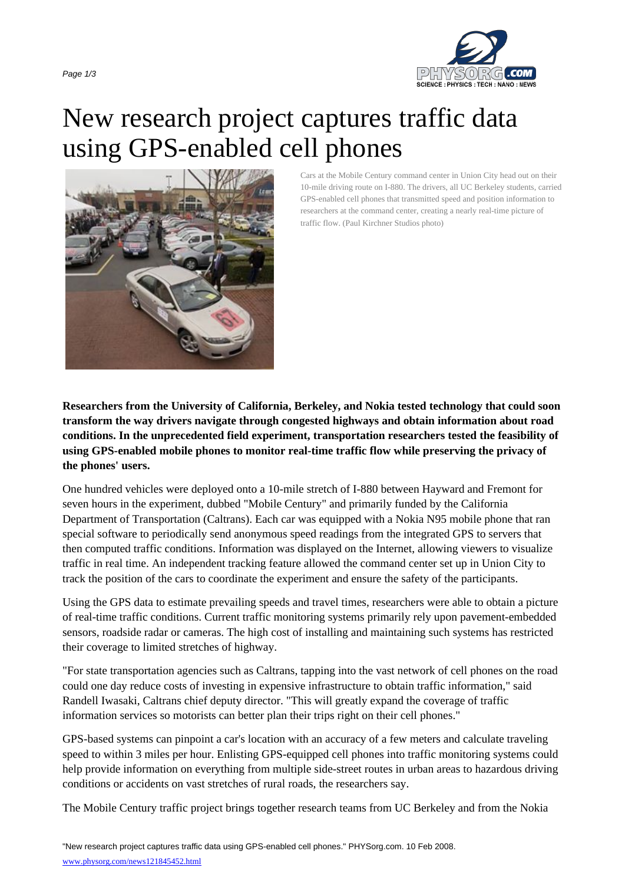

## New research project captures tr[affic data](http://www.physorg.com/) using GPS-enabled cell phones



Cars at the Mobile Century command center in Union City head out on their 10-mile driving route on I-880. The drivers, all UC Berkeley students, carried GPS-enabled cell phones that transmitted speed and position information to researchers at the command center, creating a nearly real-time picture of traffic flow. (Paul Kirchner Studios photo)

**Researchers from the University of California, Berkeley, and Nokia tested technology that could soon transform the way drivers navigate through congested highways and obtain information about road conditions. In the unprecedented field experiment, transportation researchers tested the feasibility of using GPS-enabled mobile phones to monitor real-time traffic flow while preserving the privacy of the phones' users.**

One hundred vehicles were deployed onto a 10-mile stretch of I-880 between Hayward and Fremont for seven hours in the experiment, dubbed "Mobile Century" and primarily funded by the California Department of Transportation (Caltrans). Each car was equipped with a Nokia N95 mobile phone that ran special software to periodically send anonymous speed readings from the integrated GPS to servers that then computed traffic conditions. Information was displayed on the Internet, allowing viewers to visualize traffic in real time. An independent tracking feature allowed the command center set up in Union City to track the position of the cars to coordinate the experiment and ensure the safety of the participants.

Using the GPS data to estimate prevailing speeds and travel times, researchers were able to obtain a picture of real-time traffic conditions. Current traffic monitoring systems primarily rely upon pavement-embedded sensors, roadside radar or cameras. The high cost of installing and maintaining such systems has restricted their coverage to limited stretches of highway.

"For state transportation agencies such as Caltrans, tapping into the vast network of cell phones on the road could one day reduce costs of investing in expensive infrastructure to obtain traffic information," said Randell Iwasaki, Caltrans chief deputy director. "This will greatly expand the coverage of traffic information services so motorists can better plan their trips right on their cell phones."

GPS-based systems can pinpoint a car's location with an accuracy of a few meters and calculate traveling speed to within 3 miles per hour. Enlisting GPS-equipped cell phones into traffic monitoring systems could help provide information on everything from multiple side-street routes in urban areas to hazardous driving conditions or accidents on vast stretches of rural roads, the researchers say.

The Mobile Century traffic project brings together research teams from UC Berkeley and from the Nokia

"New research project captures traffic data using GPS-enabled cell phones." PHYSorg.com. 10 Feb 2008. www.physorg.com/news121845452.html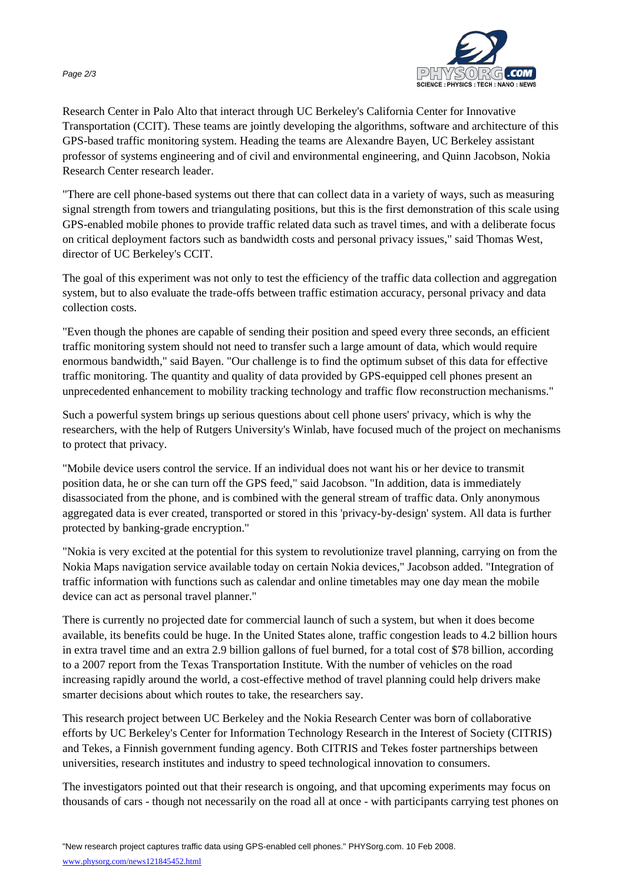

Research Center in Palo Alto that interact through UC Berkeley's California Center for Innovative Transportation (CCIT). These teams are jointly developing the algorithms, s[oftware and architecture of](http://www.physorg.com/) this GPS-based traffic monitoring system. Heading the teams are Alexandre Bayen, UC Berkeley assistant professor of systems engineering and of civil and environmental engineering, and Quinn Jacobson, Nokia Research Center research leader.

"There are cell phone-based systems out there that can collect data in a variety of ways, such as measuring signal strength from towers and triangulating positions, but this is the first demonstration of this scale using GPS-enabled mobile phones to provide traffic related data such as travel times, and with a deliberate focus on critical deployment factors such as bandwidth costs and personal privacy issues," said Thomas West, director of UC Berkeley's CCIT.

The goal of this experiment was not only to test the efficiency of the traffic data collection and aggregation system, but to also evaluate the trade-offs between traffic estimation accuracy, personal privacy and data collection costs.

"Even though the phones are capable of sending their position and speed every three seconds, an efficient traffic monitoring system should not need to transfer such a large amount of data, which would require enormous bandwidth," said Bayen. "Our challenge is to find the optimum subset of this data for effective traffic monitoring. The quantity and quality of data provided by GPS-equipped cell phones present an unprecedented enhancement to mobility tracking technology and traffic flow reconstruction mechanisms."

Such a powerful system brings up serious questions about cell phone users' privacy, which is why the researchers, with the help of Rutgers University's Winlab, have focused much of the project on mechanisms to protect that privacy.

"Mobile device users control the service. If an individual does not want his or her device to transmit position data, he or she can turn off the GPS feed," said Jacobson. "In addition, data is immediately disassociated from the phone, and is combined with the general stream of traffic data. Only anonymous aggregated data is ever created, transported or stored in this 'privacy-by-design' system. All data is further protected by banking-grade encryption."

"Nokia is very excited at the potential for this system to revolutionize travel planning, carrying on from the Nokia Maps navigation service available today on certain Nokia devices," Jacobson added. "Integration of traffic information with functions such as calendar and online timetables may one day mean the mobile device can act as personal travel planner."

There is currently no projected date for commercial launch of such a system, but when it does become available, its benefits could be huge. In the United States alone, traffic congestion leads to 4.2 billion hours in extra travel time and an extra 2.9 billion gallons of fuel burned, for a total cost of \$78 billion, according to a 2007 report from the Texas Transportation Institute. With the number of vehicles on the road increasing rapidly around the world, a cost-effective method of travel planning could help drivers make smarter decisions about which routes to take, the researchers say.

This research project between UC Berkeley and the Nokia Research Center was born of collaborative efforts by UC Berkeley's Center for Information Technology Research in the Interest of Society (CITRIS) and Tekes, a Finnish government funding agency. Both CITRIS and Tekes foster partnerships between universities, research institutes and industry to speed technological innovation to consumers.

The investigators pointed out that their research is ongoing, and that upcoming experiments may focus on thousands of cars - though not necessarily on the road all at once - with participants carrying test phones on